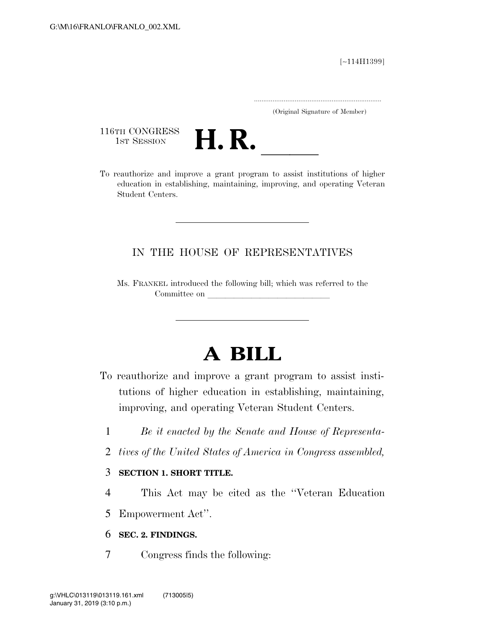[∼114H1399]

.....................................................................

(Original Signature of Member)

116TH CONGRESS<br>1st Session



116TH CONGRESS<br>1st SESSION **H. R.** <u>Indicated and improve a grant program</u> to assist institutions of higher education in establishing, maintaining, improving, and operating Veteran Student Centers.

## IN THE HOUSE OF REPRESENTATIVES

Ms. FRANKEL introduced the following bill; which was referred to the Committee on

# **A BILL**

- To reauthorize and improve a grant program to assist institutions of higher education in establishing, maintaining, improving, and operating Veteran Student Centers.
	- 1 *Be it enacted by the Senate and House of Representa-*
	- 2 *tives of the United States of America in Congress assembled,*

### 3 **SECTION 1. SHORT TITLE.**

4 This Act may be cited as the ''Veteran Education

5 Empowerment Act''.

### 6 **SEC. 2. FINDINGS.**

7 Congress finds the following: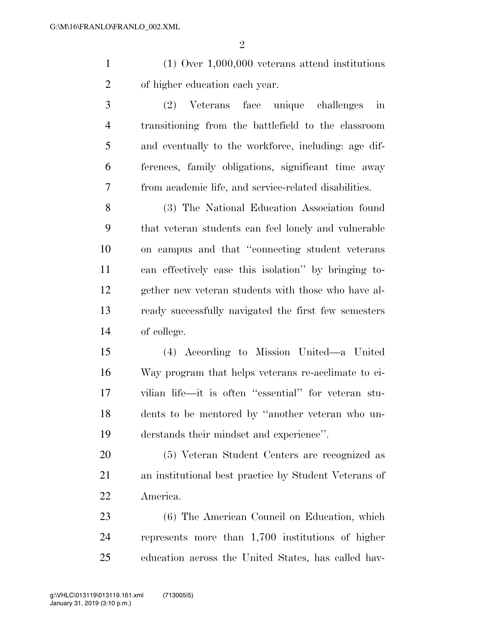$\mathfrak{D}$ 

 (1) Over 1,000,000 veterans attend institutions of higher education each year.

 (2) Veterans face unique challenges in transitioning from the battlefield to the classroom and eventually to the workforce, including: age dif- ferences, family obligations, significant time away from academic life, and service-related disabilities.

 (3) The National Education Association found that veteran students can feel lonely and vulnerable on campus and that ''connecting student veterans can effectively ease this isolation'' by bringing to- gether new veteran students with those who have al- ready successfully navigated the first few semesters of college.

 (4) According to Mission United—a United Way program that helps veterans re-acclimate to ci- vilian life—it is often ''essential'' for veteran stu- dents to be mentored by ''another veteran who un-derstands their mindset and experience''.

 (5) Veteran Student Centers are recognized as an institutional best practice by Student Veterans of America.

 (6) The American Council on Education, which represents more than 1,700 institutions of higher education across the United States, has called hav-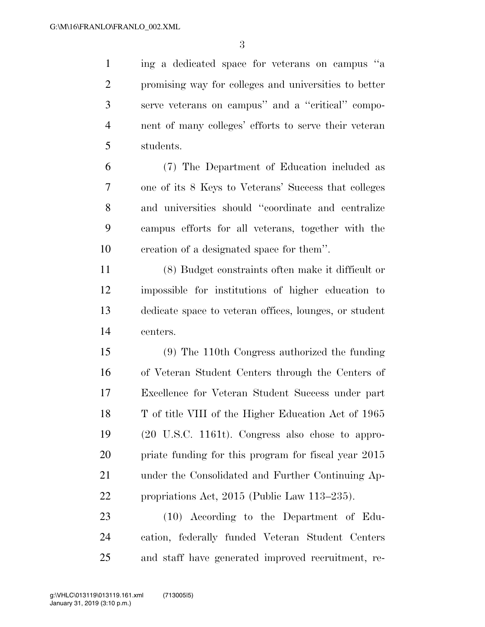ing a dedicated space for veterans on campus ''a promising way for colleges and universities to better serve veterans on campus'' and a ''critical'' compo- nent of many colleges' efforts to serve their veteran students.

 (7) The Department of Education included as one of its 8 Keys to Veterans' Success that colleges and universities should ''coordinate and centralize campus efforts for all veterans, together with the creation of a designated space for them''.

 (8) Budget constraints often make it difficult or impossible for institutions of higher education to dedicate space to veteran offices, lounges, or student centers.

 (9) The 110th Congress authorized the funding of Veteran Student Centers through the Centers of Excellence for Veteran Student Success under part T of title VIII of the Higher Education Act of 1965 (20 U.S.C. 1161t). Congress also chose to appro-20 priate funding for this program for fiscal year 2015 under the Consolidated and Further Continuing Ap-propriations Act, 2015 (Public Law 113–235).

 (10) According to the Department of Edu- cation, federally funded Veteran Student Centers and staff have generated improved recruitment, re-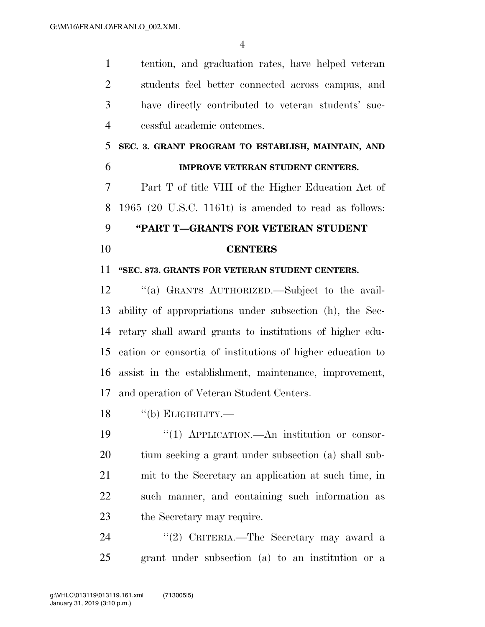tention, and graduation rates, have helped veteran students feel better connected across campus, and have directly contributed to veteran students' suc-cessful academic outcomes.

# **SEC. 3. GRANT PROGRAM TO ESTABLISH, MAINTAIN, AND IMPROVE VETERAN STUDENT CENTERS.**

 Part T of title VIII of the Higher Education Act of 1965 (20 U.S.C. 1161t) is amended to read as follows:

### **''PART T—GRANTS FOR VETERAN STUDENT**

### **CENTERS**

### **''SEC. 873. GRANTS FOR VETERAN STUDENT CENTERS.**

 ''(a) GRANTS AUTHORIZED.—Subject to the avail- ability of appropriations under subsection (h), the Sec- retary shall award grants to institutions of higher edu- cation or consortia of institutions of higher education to assist in the establishment, maintenance, improvement, and operation of Veteran Student Centers.

18 "(b) ELIGIBILITY.—

 $\frac{1}{2}$  (1) APPLICATION.—An institution or consor- tium seeking a grant under subsection (a) shall sub- mit to the Secretary an application at such time, in such manner, and containing such information as the Secretary may require.

24 "(2) CRITERIA.—The Secretary may award a grant under subsection (a) to an institution or a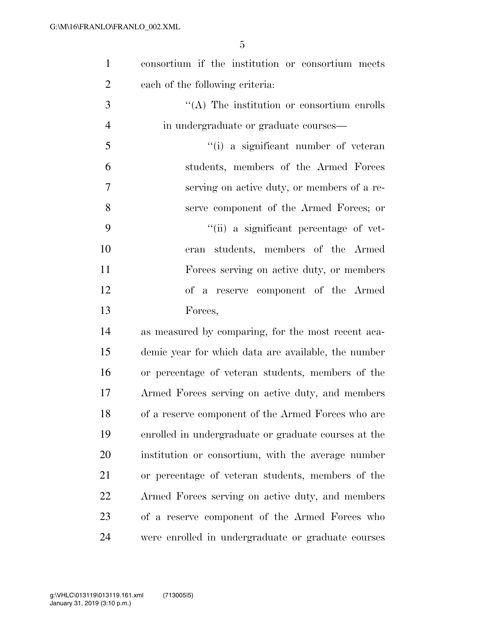| $\mathbf{1}$   | consortium if the institution or consortium meets    |
|----------------|------------------------------------------------------|
| $\overline{2}$ | each of the following criteria:                      |
| 3              | $\lq\lq$ . The institution or consortium enrolls     |
| $\overline{4}$ | in undergraduate or graduate courses—                |
| 5              | "(i) a significant number of veteran                 |
| 6              | students, members of the Armed Forces                |
| 7              | serving on active duty, or members of a re-          |
| 8              | serve component of the Armed Forces; or              |
| 9              | "(ii) a significant percentage of vet-               |
| 10             | students, members of the Armed<br>eran               |
| 11             | Forces serving on active duty, or members            |
| 12             | of a reserve component of the Armed                  |
| 13             | Forces,                                              |
| 14             | as measured by comparing, for the most recent aca-   |
| 15             | demic year for which data are available, the number  |
| 16             | or percentage of veteran students, members of the    |
| 17             | Armed Forces serving on active duty, and members     |
| 18             | of a reserve component of the Armed Forces who are   |
| 19             | enrolled in undergraduate or graduate courses at the |
| 20             | institution or consortium, with the average number   |
| 21             | or percentage of veteran students, members of the    |
| 22             | Armed Forces serving on active duty, and members     |
| 23             | of a reserve component of the Armed Forces who       |
| 24             | were enrolled in undergraduate or graduate courses   |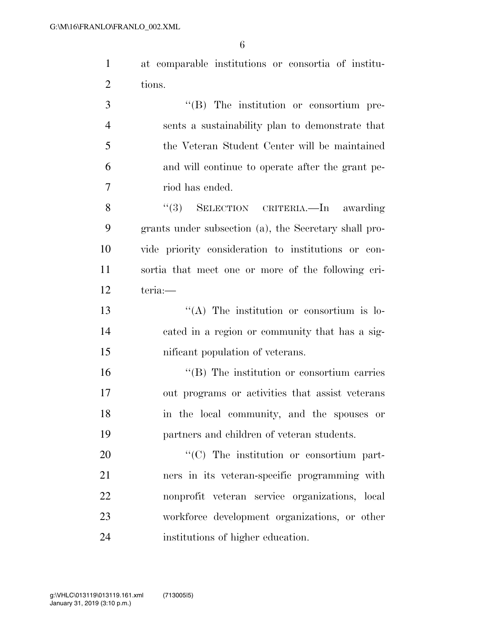at comparable institutions or consortia of institu-tions.

 $\cdot$  (B) The institution or consortium pre- sents a sustainability plan to demonstrate that the Veteran Student Center will be maintained and will continue to operate after the grant pe-riod has ended.

 ''(3) SELECTION CRITERIA.—In awarding grants under subsection (a), the Secretary shall pro- vide priority consideration to institutions or con- sortia that meet one or more of the following cri-teria:—

13 ''(A) The institution or consortium is lo- cated in a region or community that has a sig-nificant population of veterans.

 ''(B) The institution or consortium carries out programs or activities that assist veterans in the local community, and the spouses or partners and children of veteran students.

 $\cdot$  (C) The institution or consortium part- ners in its veteran-specific programming with nonprofit veteran service organizations, local workforce development organizations, or other institutions of higher education.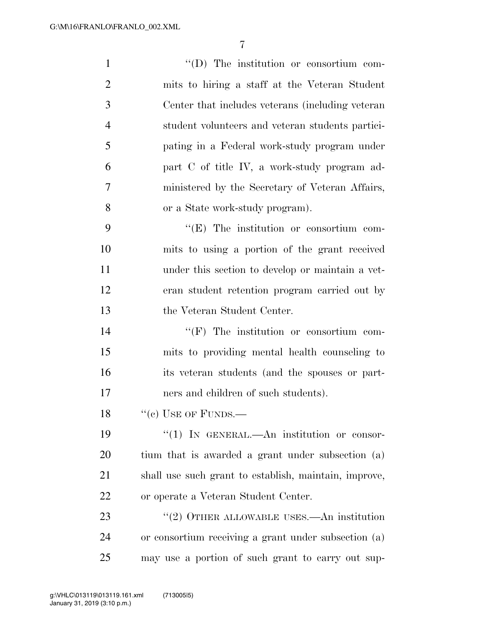| $\mathbf{1}$   | $\lq\lq$ (D) The institution or consortium com-       |
|----------------|-------------------------------------------------------|
| $\overline{2}$ | mits to hiring a staff at the Veteran Student         |
| 3              | Center that includes veterans (including veteran)     |
| $\overline{4}$ | student volunteers and veteran students partici-      |
| 5              | pating in a Federal work-study program under          |
| 6              | part C of title IV, a work-study program ad-          |
| 7              | ministered by the Secretary of Veteran Affairs,       |
| 8              | or a State work-study program).                       |
| 9              | "(E) The institution or consortium com-               |
| 10             | mits to using a portion of the grant received         |
| 11             | under this section to develop or maintain a vet-      |
| 12             | eran student retention program carried out by         |
| 13             | the Veteran Student Center.                           |
| 14             | $\lq\lq(F)$ The institution or consortium com-        |
| 15             | mits to providing mental health counseling to         |
| 16             | its veteran students (and the spouses or part-        |
| 17             | ners and children of such students).                  |
| 18             | $``$ (c) USE OF FUNDS.—                               |
| 19             | "(1) IN GENERAL.—An institution or consor-            |
| 20             | tium that is awarded a grant under subsection (a)     |
| 21             | shall use such grant to establish, maintain, improve, |
| 22             | or operate a Veteran Student Center.                  |
| 23             | $\cdot\cdot$ (2) OTHER ALLOWABLE USES.—An institution |
| 24             | or consortium receiving a grant under subsection (a)  |
| 25             | may use a portion of such grant to carry out sup-     |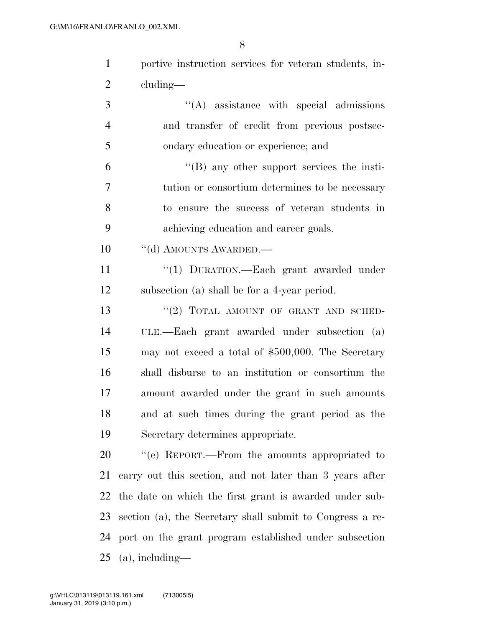portive instruction services for veteran students, in-cluding—

- 3  $\cdot$  (A) assistance with special admissions and transfer of credit from previous postsec- ondary education or experience; and ''(B) any other support services the insti- tution or consortium determines to be necessary to ensure the success of veteran students in
- achieving education and career goals.
- 10 "(d) AMOUNTS AWARDED.—

11 "(1) DURATION.—Each grant awarded under subsection (a) shall be for a 4-year period.

13 "(2) TOTAL AMOUNT OF GRANT AND SCHED- ULE.—Each grant awarded under subsection (a) may not exceed a total of \$500,000. The Secretary shall disburse to an institution or consortium the amount awarded under the grant in such amounts and at such times during the grant period as the Secretary determines appropriate.

20 "(e) REPORT.—From the amounts appropriated to carry out this section, and not later than 3 years after the date on which the first grant is awarded under sub- section (a), the Secretary shall submit to Congress a re- port on the grant program established under subsection (a), including—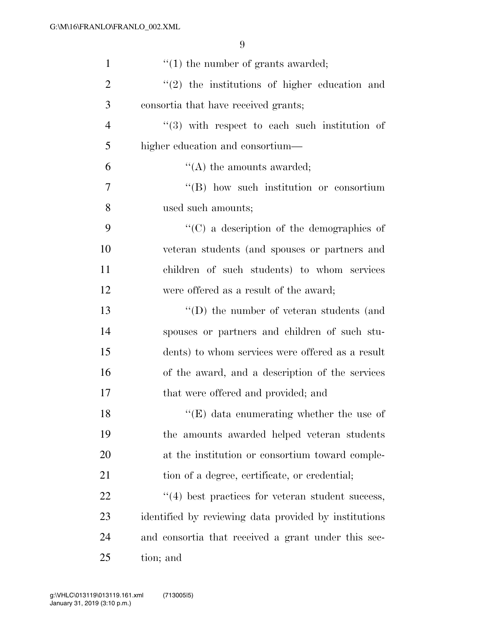| $\mathbf{1}$   | $\lq(1)$ the number of grants awarded;                  |
|----------------|---------------------------------------------------------|
| $\overline{2}$ | $(2)$ the institutions of higher education and          |
| 3              | consortia that have received grants;                    |
| $\overline{4}$ | $(3)$ with respect to each such institution of          |
| 5              | higher education and consortium—                        |
| 6              | $\lq\lq$ the amounts awarded;                           |
| $\tau$         | $\lq\lq (B)$ how such institution or consortium         |
| 8              | used such amounts;                                      |
| 9              | "(C) a description of the demographics of               |
| 10             | veteran students (and spouses or partners and           |
| 11             | children of such students) to whom services             |
| 12             | were offered as a result of the award;                  |
| 13             | $\lq\lq$ the number of veteran students (and            |
| 14             | spouses or partners and children of such stu-           |
| 15             | dents) to whom services were offered as a result        |
| 16             | of the award, and a description of the services         |
| 17             | that were offered and provided; and                     |
| 18             | $\lq\lq$ (E) data enumerating whether the use of        |
| 19             | the amounts awarded helped veteran students             |
| 20             | at the institution or consortium toward comple-         |
| 21             | tion of a degree, certificate, or credential;           |
| 22             | $\cdot$ (4) best practices for veteran student success, |
| 23             | identified by reviewing data provided by institutions   |
| 24             | and consortia that received a grant under this sec-     |
| 25             | tion; and                                               |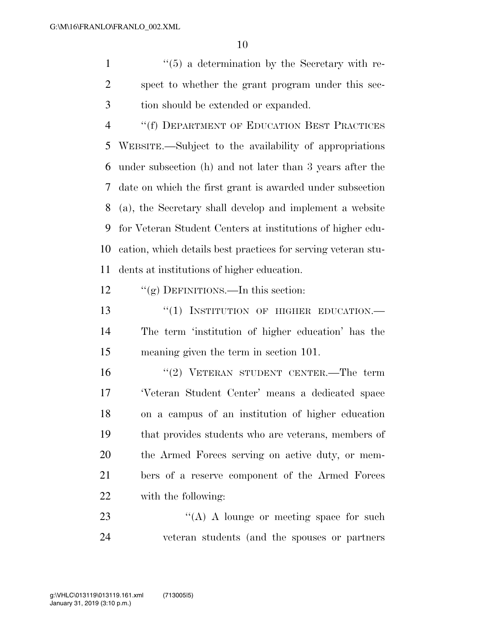1 ''(5) a determination by the Secretary with re- spect to whether the grant program under this sec-tion should be extended or expanded.

4 "(f) DEPARTMENT OF EDUCATION BEST PRACTICES WEBSITE.—Subject to the availability of appropriations under subsection (h) and not later than 3 years after the date on which the first grant is awarded under subsection (a), the Secretary shall develop and implement a website for Veteran Student Centers at institutions of higher edu- cation, which details best practices for serving veteran stu-dents at institutions of higher education.

12 "(g) DEFINITIONS.—In this section:

13 "(1) INSTITUTION OF HIGHER EDUCATION.— The term 'institution of higher education' has the meaning given the term in section 101.

16 "(2) VETERAN STUDENT CENTER.—The term 'Veteran Student Center' means a dedicated space on a campus of an institution of higher education that provides students who are veterans, members of the Armed Forces serving on active duty, or mem- bers of a reserve component of the Armed Forces with the following:

23 "(A) A lounge or meeting space for such veteran students (and the spouses or partners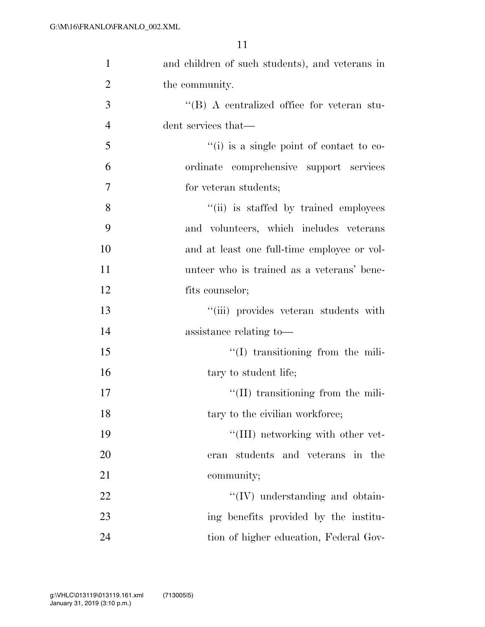| $\mathbf{1}$   | and children of such students), and veterans in    |
|----------------|----------------------------------------------------|
| $\overline{2}$ | the community.                                     |
| 3              | $\lq\lq (B)$ A centralized office for veteran stu- |
| $\overline{4}$ | dent services that—                                |
| 5              | $``(i)$ is a single point of contact to co-        |
| 6              | ordinate comprehensive support services            |
| 7              | for veteran students;                              |
| 8              | "(ii) is staffed by trained employees              |
| 9              | and volunteers, which includes veterans            |
| 10             | and at least one full-time employee or vol-        |
| 11             | unteer who is trained as a veterans' bene-         |
| 12             | fits counselor;                                    |
| 13             | "(iii) provides veteran students with              |
| 14             | assistance relating to-                            |
| 15             | $\lq\lq$ transitioning from the mili-              |
| 16             | tary to student life;                              |
| 17             | $\lq\lq$ (II) transitioning from the mili-         |
| 18             | tary to the civilian workforce;                    |
| 19             | $\lq\lq$ (III) networking with other vet-          |
| 20             | students and veterans in the<br>eran               |
| 21             | community;                                         |
| 22             | $\lq\lq$ (IV) understanding and obtain-            |
| 23             | ing benefits provided by the institu-              |
| 24             | tion of higher education, Federal Gov-             |